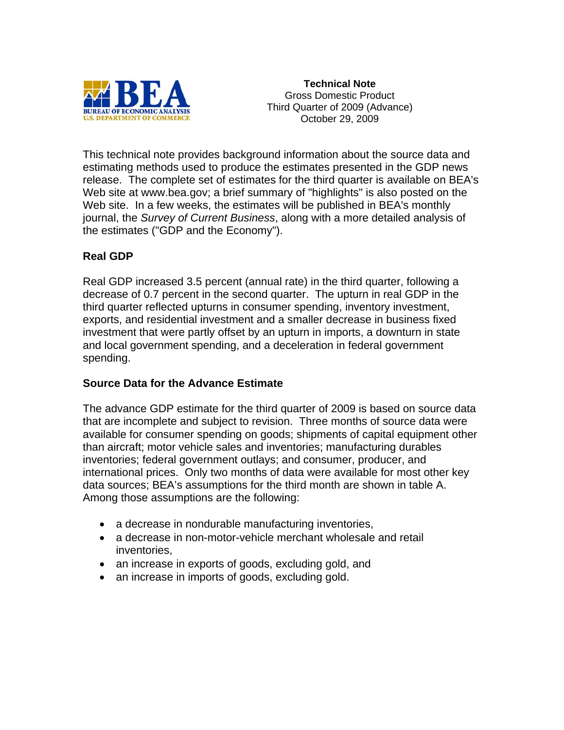

**Technical Note**  Gross Domestic Product Third Quarter of 2009 (Advance) October 29, 2009

This technical note provides background information about the source data and estimating methods used to produce the estimates presented in the GDP news release. The complete set of estimates for the third quarter is available on BEA's Web site at www.bea.gov; a brief summary of "highlights" is also posted on the Web site. In a few weeks, the estimates will be published in BEA's monthly journal, the *Survey of Current Business*, along with a more detailed analysis of the estimates ("GDP and the Economy").

# **Real GDP**

Real GDP increased 3.5 percent (annual rate) in the third quarter, following a decrease of 0.7 percent in the second quarter. The upturn in real GDP in the third quarter reflected upturns in consumer spending, inventory investment, exports, and residential investment and a smaller decrease in business fixed investment that were partly offset by an upturn in imports, a downturn in state and local government spending, and a deceleration in federal government spending.

#### **Source Data for the Advance Estimate**

The advance GDP estimate for the third quarter of 2009 is based on source data that are incomplete and subject to revision. Three months of source data were available for consumer spending on goods; shipments of capital equipment other than aircraft; motor vehicle sales and inventories; manufacturing durables inventories; federal government outlays; and consumer, producer, and international prices. Only two months of data were available for most other key data sources; BEA's assumptions for the third month are shown in table A. Among those assumptions are the following:

- a decrease in nondurable manufacturing inventories,
- a decrease in non-motor-vehicle merchant wholesale and retail inventories,
- an increase in exports of goods, excluding gold, and
- an increase in imports of goods, excluding gold.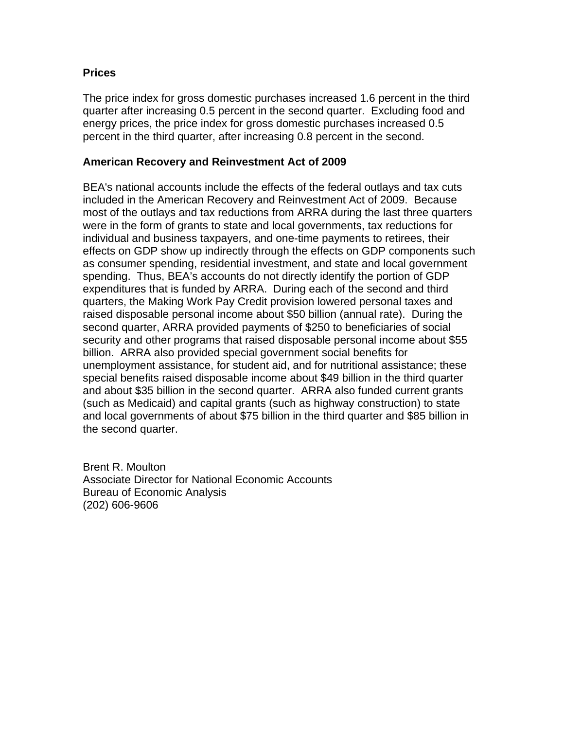# **Prices**

The price index for gross domestic purchases increased 1.6 percent in the third quarter after increasing 0.5 percent in the second quarter. Excluding food and energy prices, the price index for gross domestic purchases increased 0.5 percent in the third quarter, after increasing 0.8 percent in the second.

### **American Recovery and Reinvestment Act of 2009**

BEA's national accounts include the effects of the federal outlays and tax cuts included in the American Recovery and Reinvestment Act of 2009. Because most of the outlays and tax reductions from ARRA during the last three quarters were in the form of grants to state and local governments, tax reductions for individual and business taxpayers, and one-time payments to retirees, their effects on GDP show up indirectly through the effects on GDP components such as consumer spending, residential investment, and state and local government spending. Thus, BEA's accounts do not directly identify the portion of GDP expenditures that is funded by ARRA. During each of the second and third quarters, the Making Work Pay Credit provision lowered personal taxes and raised disposable personal income about \$50 billion (annual rate). During the second quarter, ARRA provided payments of \$250 to beneficiaries of social security and other programs that raised disposable personal income about \$55 billion. ARRA also provided special government social benefits for unemployment assistance, for student aid, and for nutritional assistance; these special benefits raised disposable income about \$49 billion in the third quarter and about \$35 billion in the second quarter. ARRA also funded current grants (such as Medicaid) and capital grants (such as highway construction) to state and local governments of about \$75 billion in the third quarter and \$85 billion in the second quarter.

Brent R. Moulton Associate Director for National Economic Accounts Bureau of Economic Analysis (202) 606-9606